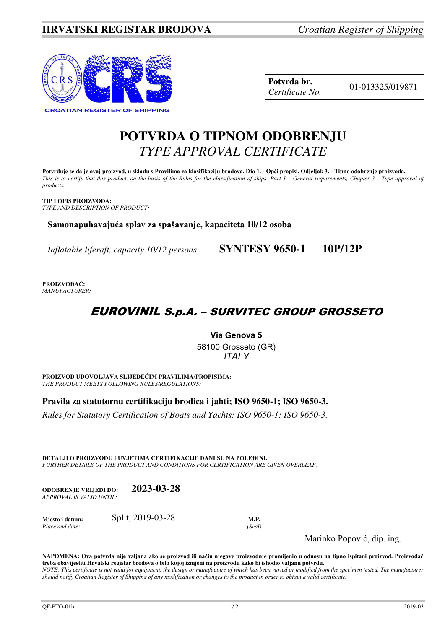

| Potvrda br.     |  |
|-----------------|--|
| Certificate No. |  |

01-013325/019871

# **POTVRDA O TIPNOM ODOBRENJU**  *TYPE APPROVAL CERTIFICATE*

**Potvrđuje se da je ovaj proizvod, u skladu s Pravilima za klasifikaciju brodova, Dio 1. - Opći propisi, Odjeljak 3. - Tipno odobrenje proizvoda.**  *This is to certify that this product, on the basis of the Rules for the classification of ships, Part 1 - General requirements, Chapter 3 - Type approval of products.* 

**TIP I OPIS PROIZVODA:** *TYPE AND DESCRIPTION OF PRODUCT:* 

**Samonapuhavajuća splav za spašavanje, kapaciteta 10/12 osoba** 

*Inflatable liferaft, capacity 10/12 persons* **SYNTESY 9650-1 10P/12P**

**PROIZVOĐAČ:** *MANUFACTURER:*

## EUROVINIL S.p.A. – SURVITEC GROUP GROSSETO

**Via Genova 5**  58100 Grosseto (GR) *ITALY* 

**PROIZVOD UDOVOLJAVA SLIJEDEĆIM PRAVILIMA/PROPISIMA:** *THE PRODUCT MEETS FOLLOWING RULES/REGULATIONS:* 

**Pravila za statutornu certifikaciju brodica i jahti; ISO 9650-1; ISO 9650-3.** 

*Rules for Statutory Certification of Boats and Yachts; ISO 9650-1; ISO 9650-3.* 

**DETALJI O PROIZVODU I UVJETIMA CERTIFIKACIJE DANI SU NA POLEĐINI.** *FURTHER DETAILS OF THE PRODUCT AND CONDITIONS FOR CERTIFICATION ARE GIVEN OVERLEAF.* 

| <b>ODOBRENJE VRLJEDI DO:</b><br>APPROVAL IS VALID UNTIL: | 2023-03-28        |        |                |
|----------------------------------------------------------|-------------------|--------|----------------|
| Mjesto i datum:                                          | Split, 2019-03-28 | M.P.   | $\cdots$       |
| Place and date:                                          |                   | (Seal) | <b>17</b> 11 m |

Marinko Popović, dip. ing.

**NAPOMENA: Ova potvrda nije valjana ako se proizvod ili način njegove proizvodnje promijenio u odnosu na tipno ispitani proizvod. Proizvođač treba obavijestiti Hrvatski registar brodova o bilo kojoj izmjeni na proizvodu kako bi ishodio valjanu potvrdu.**  *NOTE: This certificate is not valid for equipment, the design or manufacture of which has been varied or modified from the specimen tested. The manufacturer*